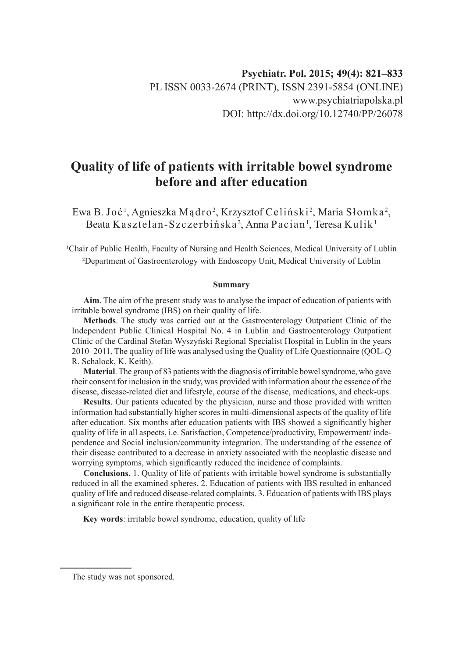# **Quality of life of patients with irritable bowel syndrome before and after education**

Ewa B. Joć<sup>1</sup>, Agnieszka Mądro<sup>2</sup>, Krzysztof Celiński<sup>2</sup>, Maria Słomka<sup>2</sup>, Beata Kasztelan-Szczerbińska<sup>2</sup>, Anna Pacian<sup>1</sup>, Teresa Kulik<sup>1</sup>

<sup>1</sup>Chair of Public Health, Faculty of Nursing and Health Sciences, Medical University of Lublin ²Department of Gastroenterology with Endoscopy Unit, Medical University of Lublin

#### **Summary**

**Aim**. The aim of the present study was to analyse the impact of education of patients with irritable bowel syndrome (IBS) on their quality of life.

**Methods**. The study was carried out at the Gastroenterology Outpatient Clinic of the Independent Public Clinical Hospital No. 4 in Lublin and Gastroenterology Outpatient Clinic of the Cardinal Stefan Wyszyński Regional Specialist Hospital in Lublin in the years 2010–2011. The quality of life was analysed using the Quality of Life Questionnaire (QOL-Q R. Schalock, K. Keith).

**Material**. The group of 83 patients with the diagnosis of irritable bowel syndrome, who gave their consent for inclusion in the study, was provided with information about the essence of the disease, disease-related diet and lifestyle, course of the disease, medications, and check-ups.

**Results**. Our patients educated by the physician, nurse and those provided with written information had substantially higher scores in multi-dimensional aspects of the quality of life after education. Six months after education patients with IBS showed a significantly higher quality of life in all aspects, i.e. Satisfaction, Competence/productivity, Empowerment/ independence and Social inclusion/community integration. The understanding of the essence of their disease contributed to a decrease in anxiety associated with the neoplastic disease and worrying symptoms, which significantly reduced the incidence of complaints.

**Conclusions**. 1. Quality of life of patients with irritable bowel syndrome is substantially reduced in all the examined spheres. 2. Education of patients with IBS resulted in enhanced quality of life and reduced disease-related complaints. 3. Education of patients with IBS plays a significant role in the entire therapeutic process.

**Key words**: irritable bowel syndrome, education, quality of life

The study was not sponsored.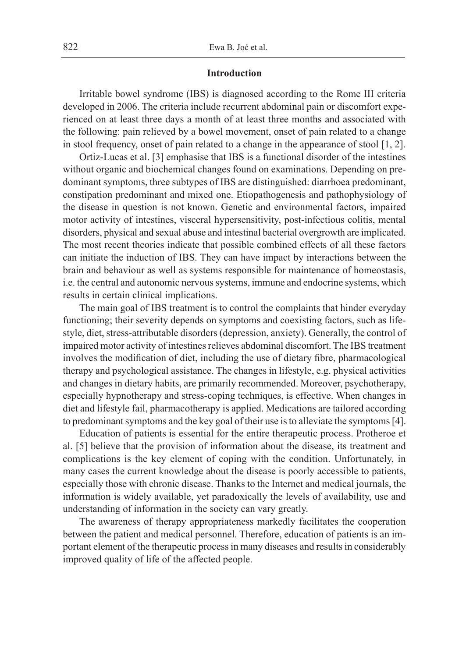#### **Introduction**

Irritable bowel syndrome (IBS) is diagnosed according to the Rome III criteria developed in 2006. The criteria include recurrent abdominal pain or discomfort experienced on at least three days a month of at least three months and associated with the following: pain relieved by a bowel movement, onset of pain related to a change in stool frequency, onset of pain related to a change in the appearance of stool [1, 2].

Ortiz-Lucas et al. [3] emphasise that IBS is a functional disorder of the intestines without organic and biochemical changes found on examinations. Depending on predominant symptoms, three subtypes of IBS are distinguished: diarrhoea predominant, constipation predominant and mixed one. Etiopathogenesis and pathophysiology of the disease in question is not known. Genetic and environmental factors, impaired motor activity of intestines, visceral hypersensitivity, post-infectious colitis, mental disorders, physical and sexual abuse and intestinal bacterial overgrowth are implicated. The most recent theories indicate that possible combined effects of all these factors can initiate the induction of IBS. They can have impact by interactions between the brain and behaviour as well as systems responsible for maintenance of homeostasis, i.e. the central and autonomic nervous systems, immune and endocrine systems, which results in certain clinical implications.

The main goal of IBS treatment is to control the complaints that hinder everyday functioning; their severity depends on symptoms and coexisting factors, such as lifestyle, diet, stress-attributable disorders (depression, anxiety). Generally, the control of impaired motor activity of intestines relieves abdominal discomfort. The IBS treatment involves the modification of diet, including the use of dietary fibre, pharmacological therapy and psychological assistance. The changes in lifestyle, e.g. physical activities and changes in dietary habits, are primarily recommended. Moreover, psychotherapy, especially hypnotherapy and stress-coping techniques, is effective. When changes in diet and lifestyle fail, pharmacotherapy is applied. Medications are tailored according to predominant symptoms and the key goal of their use is to alleviate the symptoms [4].

Education of patients is essential for the entire therapeutic process. Protheroe et al. [5] believe that the provision of information about the disease, its treatment and complications is the key element of coping with the condition. Unfortunately, in many cases the current knowledge about the disease is poorly accessible to patients, especially those with chronic disease. Thanks to the Internet and medical journals, the information is widely available, yet paradoxically the levels of availability, use and understanding of information in the society can vary greatly.

The awareness of therapy appropriateness markedly facilitates the cooperation between the patient and medical personnel. Therefore, education of patients is an important element of the therapeutic process in many diseases and results in considerably improved quality of life of the affected people.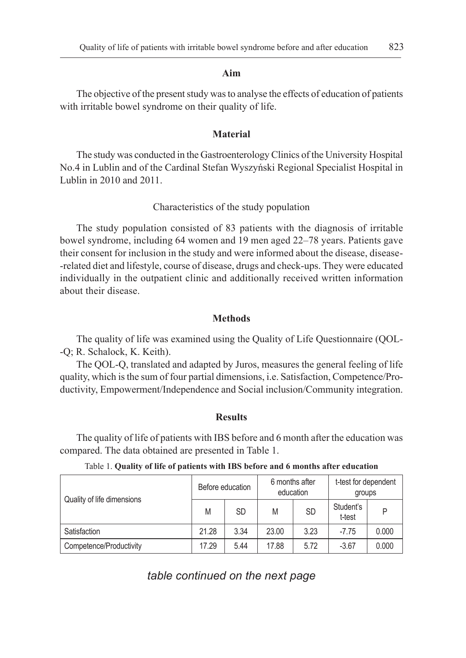#### **Aim**

The objective of the present study was to analyse the effects of education of patients with irritable bowel syndrome on their quality of life.

### **Material**

The study was conducted in the Gastroenterology Clinics of the University Hospital No.4 in Lublin and of the Cardinal Stefan Wyszyński Regional Specialist Hospital in Lublin in 2010 and 2011.

## Characteristics of the study population

The study population consisted of 83 patients with the diagnosis of irritable bowel syndrome, including 64 women and 19 men aged 22–78 years. Patients gave their consent for inclusion in the study and were informed about the disease, disease- -related diet and lifestyle, course of disease, drugs and check-ups. They were educated individually in the outpatient clinic and additionally received written information about their disease.

#### **Methods**

The quality of life was examined using the Quality of Life Questionnaire (QOL- -Q; R. Schalock, K. Keith).

The QOL-Q, translated and adapted by Juros, measures the general feeling of life quality, which is the sum of four partial dimensions, i.e. Satisfaction, Competence/Productivity, Empowerment/Independence and Social inclusion/Community integration.

#### **Results**

The quality of life of patients with IBS before and 6 month after the education was compared. The data obtained are presented in Table 1.

| Quality of life dimensions | Before education |      | 6 months after<br>education |           | t-test for dependent<br>groups |       |
|----------------------------|------------------|------|-----------------------------|-----------|--------------------------------|-------|
|                            | M                | SD   | M                           | <b>SD</b> | Student's<br>t-test            | P     |
| Satisfaction               | 21.28            | 3.34 | 23.00                       | 3.23      | $-7.75$                        | 0.000 |
| Competence/Productivity    | 17.29            | 5.44 | 17.88                       | 5.72      | $-3.67$                        | 0.000 |

Table 1. **Quality of life of patients with IBS before and 6 months after education**

*table continued on the next page*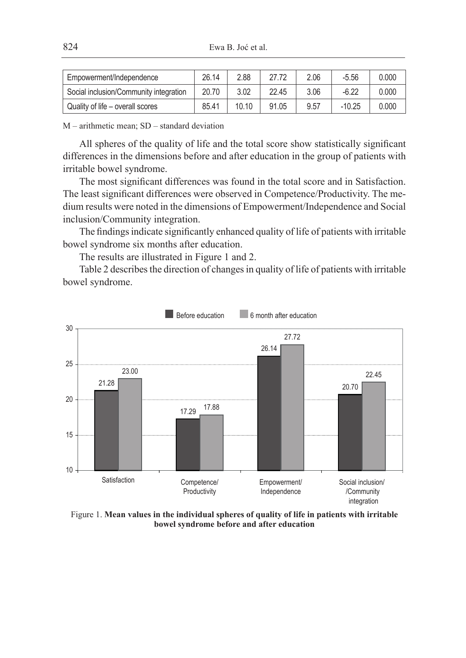| Empowerment/Independence               | 26.14 | 2.88  |       | 2.06 | $-5.56$  | 0.000 |
|----------------------------------------|-------|-------|-------|------|----------|-------|
| Social inclusion/Community integration | 20.70 | 3.02  | 22.45 | 3.06 | $-6.22$  | 0.000 |
| Quality of life – overall scores       | 85.41 | 10.10 | 91.05 | 9.57 | $-10.25$ | 0.000 |

M – arithmetic mean; SD – standard deviation

All spheres of the quality of life and the total score show statistically significant differences in the dimensions before and after education in the group of patients with irritable bowel syndrome.

The most significant differences was found in the total score and in Satisfaction. The least significant differences were observed in Competence/Productivity. The medium results were noted in the dimensions of Empowerment/Independence and Social inclusion/Community integration.

The findings indicate significantly enhanced quality of life of patients with irritable bowel syndrome six months after education.

The results are illustrated in Figure 1 and 2.

Table 2 describes the direction of changes in quality of life of patients with irritable bowel syndrome.



Figure 1. **Mean values in the individual spheres of quality of life in patients with irritable bowel syndrome before and after education**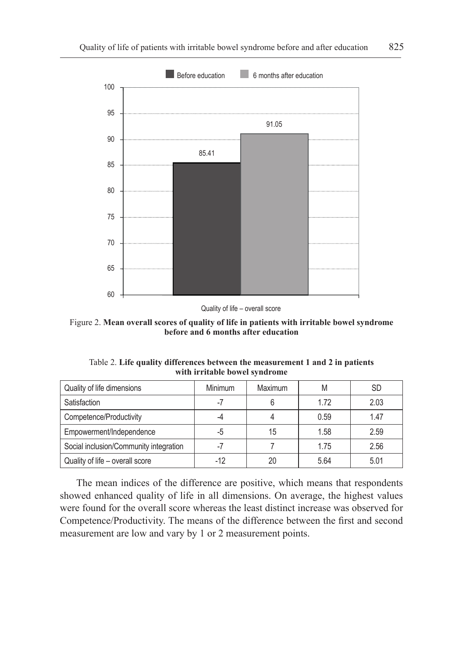

Quality of life – overall score

Figure 2. **Mean overall scores of quality of life in patients with irritable bowel syndrome before and 6 months after education**

Table 2. **Life quality differences between the measurement 1 and 2 in patients with irritable bowel syndrome**

| Quality of life dimensions             | Minimum | Maximum | M    | <b>SD</b> |
|----------------------------------------|---------|---------|------|-----------|
| Satisfaction                           | -7      |         | 1.72 | 2.03      |
| Competence/Productivity                |         |         | 0.59 | 1.47      |
| Empowerment/Independence               | -5      | 15      | 1.58 | 2.59      |
| Social inclusion/Community integration | -1      |         | 1.75 | 2.56      |
| Quality of life - overall score        | $-12$   | 20      | 5.64 | 5.01      |

The mean indices of the difference are positive, which means that respondents showed enhanced quality of life in all dimensions. On average, the highest values were found for the overall score whereas the least distinct increase was observed for Competence/Productivity. The means of the difference between the first and second measurement are low and vary by 1 or 2 measurement points.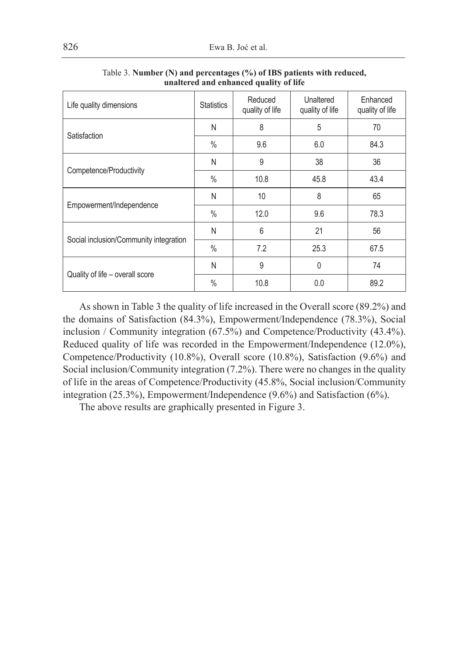| Life quality dimensions                | <b>Statistics</b> | Reduced<br>quality of life | Unaltered<br>quality of life | Enhanced<br>quality of life |
|----------------------------------------|-------------------|----------------------------|------------------------------|-----------------------------|
| Satisfaction                           | N                 | 8                          | 5                            | 70                          |
|                                        | $\%$              | 9.6                        | 6.0                          | 84.3                        |
| Competence/Productivity                | N                 | 9                          | 38                           | 36                          |
|                                        | $\%$              | 10.8                       | 45.8                         | 43.4                        |
| Empowerment/Independence               | N                 | 10                         | 8                            | 65                          |
|                                        | $\%$              | 12.0                       | 9.6                          | 78.3                        |
| Social inclusion/Community integration | N                 | 6                          | 21                           | 56                          |
|                                        | $\%$              | 7.2                        | 25.3                         | 67.5                        |
| Quality of life - overall score        | N                 | 9                          | $\mathbf{0}$                 | 74                          |
|                                        | $\frac{0}{0}$     | 10.8                       | 0.0                          | 89.2                        |

Table 3. **Number (N) and percentages (%) of IBS patients with reduced, unaltered and enhanced quality of life**

As shown in Table 3 the quality of life increased in the Overall score (89.2%) and the domains of Satisfaction (84.3%), Empowerment/Independence (78.3%), Social inclusion / Community integration (67.5%) and Competence/Productivity (43.4%). Reduced quality of life was recorded in the Empowerment/Independence (12.0%), Competence/Productivity (10.8%), Overall score (10.8%), Satisfaction (9.6%) and Social inclusion/Community integration (7.2%). There were no changes in the quality of life in the areas of Competence/Productivity (45.8%, Social inclusion/Community integration (25.3%), Empowerment/Independence (9.6%) and Satisfaction (6%).

The above results are graphically presented in Figure 3.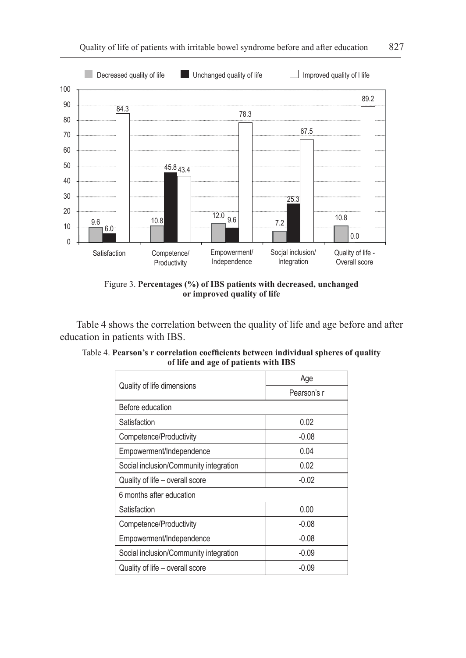

Figure 3. **Percentages (%) of IBS patients with decreased, unchanged or improved quality of life**

Table 4 shows the correlation between the quality of life and age before and after education in patients with IBS.

|                                        | Age         |  |  |
|----------------------------------------|-------------|--|--|
| Quality of life dimensions             | Pearson's r |  |  |
| Before education                       |             |  |  |
| Satisfaction                           | 0.02        |  |  |
| Competence/Productivity                | $-0.08$     |  |  |
| Empowerment/Independence               | 0.04        |  |  |
| Social inclusion/Community integration | 0.02        |  |  |
| Quality of life - overall score        | $-0.02$     |  |  |
| 6 months after education               |             |  |  |
| Satisfaction                           | 0.00        |  |  |
| Competence/Productivity                | $-0.08$     |  |  |
| Empowerment/Independence               | $-0.08$     |  |  |
| Social inclusion/Community integration | $-0.09$     |  |  |
| Quality of life – overall score        | $-0.09$     |  |  |

Table 4. **Pearson's r correlation coefficients between individual spheres of quality of life and age of patients with IBS**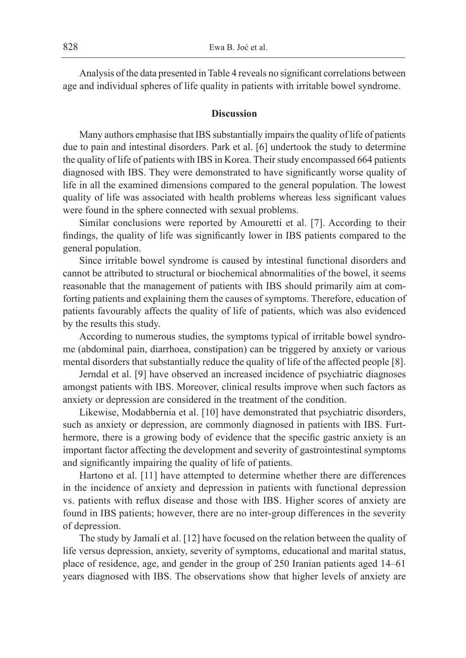Analysis of the data presented in Table 4 reveals no significant correlations between age and individual spheres of life quality in patients with irritable bowel syndrome.

## **Discussion**

Many authors emphasise that IBS substantially impairs the quality of life of patients due to pain and intestinal disorders. Park et al. [6] undertook the study to determine the quality of life of patients with IBS in Korea. Their study encompassed 664 patients diagnosed with IBS. They were demonstrated to have significantly worse quality of life in all the examined dimensions compared to the general population. The lowest quality of life was associated with health problems whereas less significant values were found in the sphere connected with sexual problems.

Similar conclusions were reported by Amouretti et al. [7]. According to their findings, the quality of life was significantly lower in IBS patients compared to the general population.

Since irritable bowel syndrome is caused by intestinal functional disorders and cannot be attributed to structural or biochemical abnormalities of the bowel, it seems reasonable that the management of patients with IBS should primarily aim at comforting patients and explaining them the causes of symptoms. Therefore, education of patients favourably affects the quality of life of patients, which was also evidenced by the results this study.

According to numerous studies, the symptoms typical of irritable bowel syndrome (abdominal pain, diarrhoea, constipation) can be triggered by anxiety or various mental disorders that substantially reduce the quality of life of the affected people [8].

Jerndal et al. [9] have observed an increased incidence of psychiatric diagnoses amongst patients with IBS. Moreover, clinical results improve when such factors as anxiety or depression are considered in the treatment of the condition.

Likewise, Modabbernia et al. [10] have demonstrated that psychiatric disorders, such as anxiety or depression, are commonly diagnosed in patients with IBS. Furthermore, there is a growing body of evidence that the specific gastric anxiety is an important factor affecting the development and severity of gastrointestinal symptoms and significantly impairing the quality of life of patients.

Hartono et al. [11] have attempted to determine whether there are differences in the incidence of anxiety and depression in patients with functional depression vs. patients with reflux disease and those with IBS. Higher scores of anxiety are found in IBS patients; however, there are no inter-group differences in the severity of depression.

The study by Jamali et al. [12] have focused on the relation between the quality of life versus depression, anxiety, severity of symptoms, educational and marital status, place of residence, age, and gender in the group of 250 Iranian patients aged 14–61 years diagnosed with IBS. The observations show that higher levels of anxiety are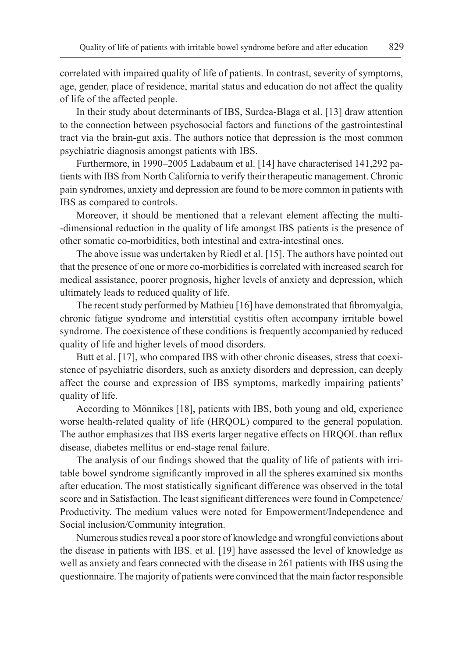correlated with impaired quality of life of patients. In contrast, severity of symptoms, age, gender, place of residence, marital status and education do not affect the quality of life of the affected people.

In their study about determinants of IBS, Surdea-Blaga et al. [13] draw attention to the connection between psychosocial factors and functions of the gastrointestinal tract via the brain-gut axis. The authors notice that depression is the most common psychiatric diagnosis amongst patients with IBS.

Furthermore, in 1990–2005 Ladabaum et al. [14] have characterised 141,292 patients with IBS from North California to verify their therapeutic management. Chronic pain syndromes, anxiety and depression are found to be more common in patients with IBS as compared to controls.

Moreover, it should be mentioned that a relevant element affecting the multi- -dimensional reduction in the quality of life amongst IBS patients is the presence of other somatic co-morbidities, both intestinal and extra-intestinal ones.

The above issue was undertaken by Riedl et al. [15]. The authors have pointed out that the presence of one or more co-morbidities is correlated with increased search for medical assistance, poorer prognosis, higher levels of anxiety and depression, which ultimately leads to reduced quality of life.

The recent study performed by Mathieu [16] have demonstrated that fibromyalgia, chronic fatigue syndrome and interstitial cystitis often accompany irritable bowel syndrome. The coexistence of these conditions is frequently accompanied by reduced quality of life and higher levels of mood disorders.

Butt et al. [17], who compared IBS with other chronic diseases, stress that coexistence of psychiatric disorders, such as anxiety disorders and depression, can deeply affect the course and expression of IBS symptoms, markedly impairing patients' quality of life.

According to Mönnikes [18], patients with IBS, both young and old, experience worse health-related quality of life (HRQOL) compared to the general population. The author emphasizes that IBS exerts larger negative effects on HRQOL than reflux disease, diabetes mellitus or end-stage renal failure.

The analysis of our findings showed that the quality of life of patients with irritable bowel syndrome significantly improved in all the spheres examined six months after education. The most statistically significant difference was observed in the total score and in Satisfaction. The least significant differences were found in Competence/ Productivity. The medium values were noted for Empowerment/Independence and Social inclusion/Community integration.

Numerous studies reveal a poor store of knowledge and wrongful convictions about the disease in patients with IBS. et al. [19] have assessed the level of knowledge as well as anxiety and fears connected with the disease in 261 patients with IBS using the questionnaire. The majority of patients were convinced that the main factor responsible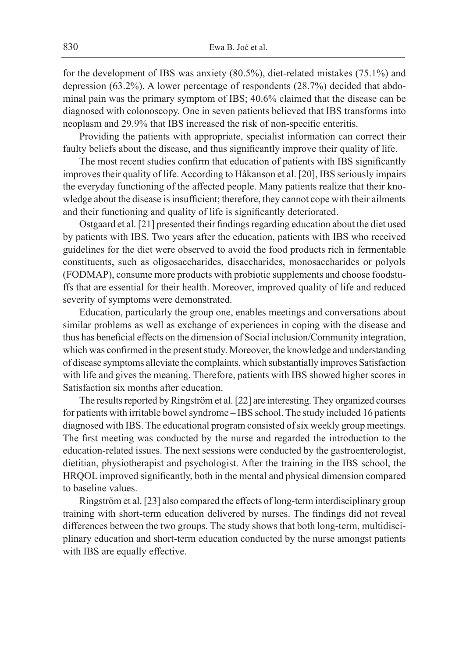for the development of IBS was anxiety (80.5%), diet-related mistakes (75.1%) and depression (63.2%). A lower percentage of respondents (28.7%) decided that abdominal pain was the primary symptom of IBS; 40.6% claimed that the disease can be diagnosed with colonoscopy. One in seven patients believed that IBS transforms into neoplasm and 29.9% that IBS increased the risk of non-specific enteritis.

Providing the patients with appropriate, specialist information can correct their faulty beliefs about the disease, and thus significantly improve their quality of life.

The most recent studies confirm that education of patients with IBS significantly improves their quality of life. According to Håkanson et al. [20], IBS seriously impairs the everyday functioning of the affected people. Many patients realize that their knowledge about the disease is insufficient; therefore, they cannot cope with their ailments and their functioning and quality of life is significantly deteriorated.

Ostgaard et al. [21] presented their findings regarding education about the diet used by patients with IBS. Two years after the education, patients with IBS who received guidelines for the diet were observed to avoid the food products rich in fermentable constituents, such as oligosaccharides, disaccharides, monosaccharides or polyols (FODMAP), consume more products with probiotic supplements and choose foodstuffs that are essential for their health. Moreover, improved quality of life and reduced severity of symptoms were demonstrated.

Education, particularly the group one, enables meetings and conversations about similar problems as well as exchange of experiences in coping with the disease and thus has beneficial effects on the dimension of Social inclusion/Community integration, which was confirmed in the present study. Moreover, the knowledge and understanding of disease symptoms alleviate the complaints, which substantially improves Satisfaction with life and gives the meaning. Therefore, patients with IBS showed higher scores in Satisfaction six months after education.

The results reported by Ringström et al. [22] are interesting. They organized courses for patients with irritable bowel syndrome – IBS school. The study included 16 patients diagnosed with IBS. The educational program consisted of six weekly group meetings. The first meeting was conducted by the nurse and regarded the introduction to the education-related issues. The next sessions were conducted by the gastroenterologist, dietitian, physiotherapist and psychologist. After the training in the IBS school, the HRQOL improved significantly, both in the mental and physical dimension compared to baseline values.

Ringström et al. [23] also compared the effects of long-term interdisciplinary group training with short-term education delivered by nurses. The findings did not reveal differences between the two groups. The study shows that both long-term, multidisciplinary education and short-term education conducted by the nurse amongst patients with IBS are equally effective.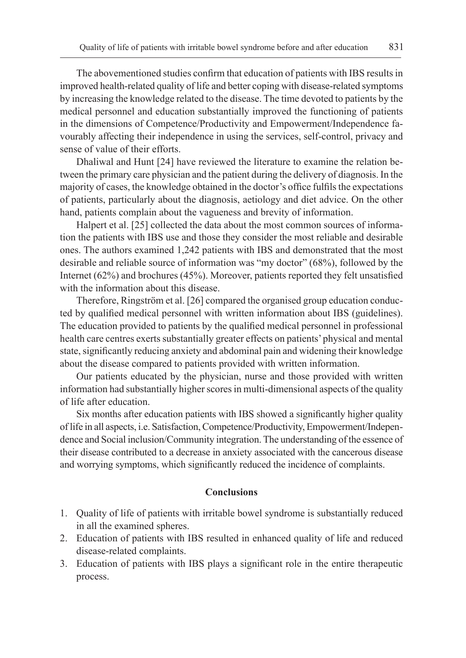The abovementioned studies confirm that education of patients with IBS results in improved health-related quality of life and better coping with disease-related symptoms by increasing the knowledge related to the disease. The time devoted to patients by the medical personnel and education substantially improved the functioning of patients in the dimensions of Competence/Productivity and Empowerment/Independence favourably affecting their independence in using the services, self-control, privacy and sense of value of their efforts.

Dhaliwal and Hunt [24] have reviewed the literature to examine the relation between the primary care physician and the patient during the delivery of diagnosis. In the majority of cases, the knowledge obtained in the doctor's office fulfils the expectations of patients, particularly about the diagnosis, aetiology and diet advice. On the other hand, patients complain about the vagueness and brevity of information.

Halpert et al. [25] collected the data about the most common sources of information the patients with IBS use and those they consider the most reliable and desirable ones. The authors examined 1,242 patients with IBS and demonstrated that the most desirable and reliable source of information was "my doctor" (68%), followed by the Internet (62%) and brochures (45%). Moreover, patients reported they felt unsatisfied with the information about this disease.

Therefore, Ringström et al. [26] compared the organised group education conducted by qualified medical personnel with written information about IBS (guidelines). The education provided to patients by the qualified medical personnel in professional health care centres exerts substantially greater effects on patients' physical and mental state, significantly reducing anxiety and abdominal pain and widening their knowledge about the disease compared to patients provided with written information.

Our patients educated by the physician, nurse and those provided with written information had substantially higher scores in multi-dimensional aspects of the quality of life after education.

Six months after education patients with IBS showed a significantly higher quality of life in all aspects, i.e. Satisfaction, Competence/Productivity, Empowerment/Independence and Social inclusion/Community integration. The understanding of the essence of their disease contributed to a decrease in anxiety associated with the cancerous disease and worrying symptoms, which significantly reduced the incidence of complaints.

### **Conclusions**

- 1. Quality of life of patients with irritable bowel syndrome is substantially reduced in all the examined spheres.
- 2. Education of patients with IBS resulted in enhanced quality of life and reduced disease-related complaints.
- 3. Education of patients with IBS plays a significant role in the entire therapeutic process.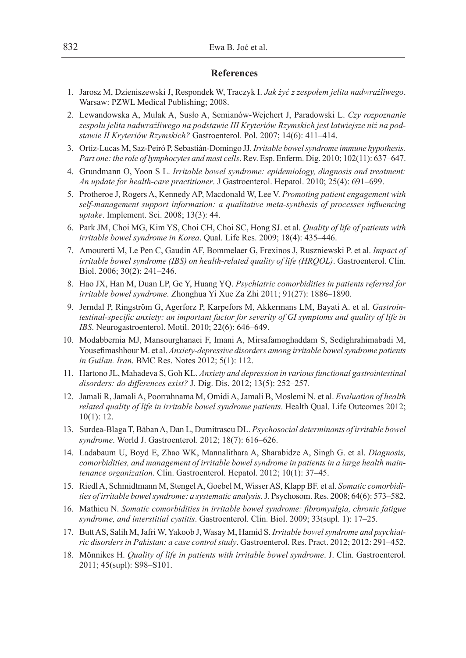#### **References**

- 1. Jarosz M, Dzieniszewski J, Respondek W, Traczyk I. *Jak żyć z zespołem jelita nadwrażliwego*. Warsaw: PZWL Medical Publishing; 2008.
- 2. Lewandowska A, Mulak A, Susło A, Semianów-Wejchert J, Paradowski L. *Czy rozpoznanie zespołu jelita nadwrażliwego na podstawie III Kryteriów Rzymskich jest łatwiejsze niż na podstawie II Kryteriów Rzymskich?* Gastroenterol. Pol. 2007; 14(6): 411–414.
- 3. Ortiz-Lucas M, Saz-Peiró P, Sebastián-Domingo JJ. *Irritable bowel syndrome immune hypothesis. Part one: the role of lymphocytes and mast cells*. Rev. Esp. Enferm. Dig. 2010; 102(11): 637–647.
- 4. Grundmann O, Yoon S L. *Irritable bowel syndrome: epidemiology, diagnosis and treatment: An update for health-care practitioner*. J Gastroenterol. Hepatol. 2010; 25(4): 691–699.
- 5. Protheroe J, Rogers A, Kennedy AP, Macdonald W, Lee V. *Promoting patient engagement with self-management support information: a qualitative meta-synthesis of processes influencing uptake*. Implement. Sci. 2008; 13(3): 44.
- 6. Park JM, Choi MG, Kim YS, Choi CH, Choi SC, Hong SJ. et al. *Quality of life of patients with irritable bowel syndrome in Korea*. Qual. Life Res. 2009; 18(4): 435–446.
- 7. Amouretti M, Le Pen C, Gaudin AF, Bommelaer G, Frexinos J, Ruszniewski P. et al. *Impact of irritable bowel syndrome (IBS) on health-related quality of life (HRQOL)*. Gastroenterol. Clin. Biol. 2006; 30(2): 241–246.
- 8. Hao JX, Han M, Duan LP, Ge Y, Huang YQ. *Psychiatric comorbidities in patients referred for irritable bowel syndrome*. Zhonghua Yi Xue Za Zhi 2011; 91(27): 1886–1890.
- 9. Jerndal P, Ringström G, Agerforz P, Karpefors M, Akkermans LM, Bayati A. et al. *Gastrointestinal-specific anxiety: an important factor for severity of GI symptoms and quality of life in IBS*. Neurogastroenterol. Motil. 2010; 22(6): 646–649.
- 10. Modabbernia MJ, Mansourghanaei F, Imani A, Mirsafamoghaddam S, Sedighrahimabadi M, Yousefimashhour M. et al. *Anxiety-depressive disorders among irritable bowel syndrome patients in Guilan. Iran*. BMC Res. Notes 2012; 5(1): 112.
- 11. Hartono JL, Mahadeva S, Goh KL. *Anxiety and depression in various functional gastrointestinal disorders: do differences exist?* J. Dig. Dis. 2012; 13(5): 252–257.
- 12. Jamali R, Jamali A, Poorrahnama M, Omidi A, Jamali B, Moslemi N. et al. *Evaluation of health related quality of life in irritable bowel syndrome patients*. Health Qual. Life Outcomes 2012; 10(1): 12.
- 13. Surdea-Blaga T, Băban A, Dan L, Dumitrascu DL. *Psychosocial determinants of irritable bowel syndrome*. World J. Gastroenterol. 2012; 18(7): 616–626.
- 14. Ladabaum U, Boyd E, Zhao WK, Mannalithara A, Sharabidze A, Singh G. et al. *Diagnosis, comorbidities, and management of irritable bowel syndrome in patients in a large health maintenance organization*. Clin. Gastroenterol. Hepatol. 2012; 10(1): 37–45.
- 15. Riedl A, Schmidtmann M, Stengel A, Goebel M, Wisser AS, Klapp BF. et al. *Somatic comorbidities of irritable bowel syndrome: a systematic analysis*. J. Psychosom. Res. 2008; 64(6): 573–582.
- 16. Mathieu N. *Somatic comorbidities in irritable bowel syndrome: fibromyalgia, chronic fatigue syndrome, and interstitial cystitis*. Gastroenterol. Clin. Biol. 2009; 33(supl. 1): 17–25.
- 17. Butt AS, Salih M, Jafri W, Yakoob J, Wasay M, Hamid S. *Irritable bowel syndrome and psychiatric disorders in Pakistan: a case control study*. Gastroenterol. Res. Pract. 2012; 2012: 291–452.
- 18. Mönnikes H. *Quality of life in patients with irritable bowel syndrome*. J. Clin. Gastroenterol. 2011; 45(supl): S98–S101.